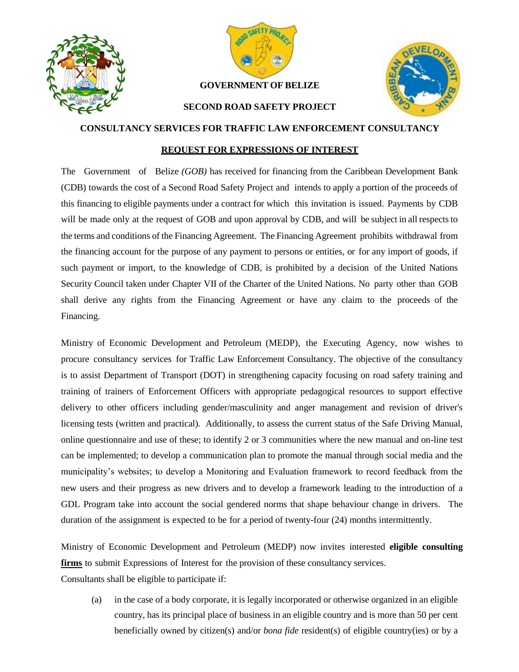



## **GOVERNMENT OF BELIZE**



## **SECOND ROAD SAFETY PROJECT**

## **CONSULTANCY SERVICES FOR TRAFFIC LAW ENFORCEMENT CONSULTANCY**

## **REQUEST FOR EXPRESSIONS OF INTEREST**

The Government of Belize *(GOB)* has received for financing from the Caribbean Development Bank (CDB) towards the cost of a Second Road Safety Project and intends to apply a portion of the proceeds of this financing to eligible payments under a contract for which this invitation is issued. Payments by CDB will be made only at the request of GOB and upon approval by CDB, and will be subject in all respects to the terms and conditions of the Financing Agreement. The Financing Agreement prohibits withdrawal from the financing account for the purpose of any payment to persons or entities, or for any import of goods, if such payment or import, to the knowledge of CDB, is prohibited by a decision of the United Nations Security Council taken under Chapter VII of the Charter of the United Nations. No party other than GOB shall derive any rights from the Financing Agreement or have any claim to the proceeds of the Financing.

Ministry of Economic Development and Petroleum (MEDP), the Executing Agency, now wishes to procure consultancy services for Traffic Law Enforcement Consultancy. The objective of the consultancy is to assist Department of Transport (DOT) in strengthening capacity focusing on road safety training and training of trainers of Enforcement Officers with appropriate pedagogical resources to support effective delivery to other officers including gender/masculinity and anger management and revision of driver's licensing tests (written and practical). Additionally, to assess the current status of the Safe Driving Manual, online questionnaire and use of these; to identify 2 or 3 communities where the new manual and on-line test can be implemented; to develop a communication plan to promote the manual through social media and the municipality's websites; to develop a Monitoring and Evaluation framework to record feedback from the new users and their progress as new drivers and to develop a framework leading to the introduction of a GDL Program take into account the social gendered norms that shape behaviour change in drivers. The duration of the assignment is expected to be for a period of twenty-four (24) months intermittently.

Ministry of Economic Development and Petroleum (MEDP) now invites interested **eligible consulting firms** to submit Expressions of Interest for the provision of these consultancy services. Consultants shall be eligible to participate if:

(a) in the case of a body corporate, it is legally incorporated or otherwise organized in an eligible country, has its principal place of business in an eligible country and is more than 50 per cent beneficially owned by citizen(s) and/or *bona fide* resident(s) of eligible country(ies) or by a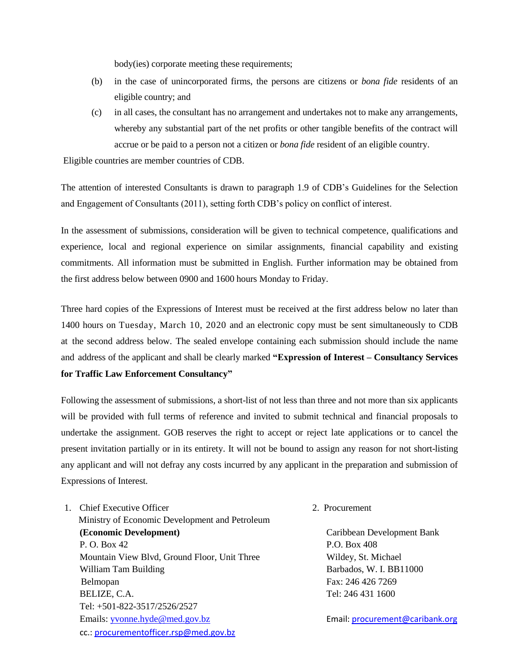body(ies) corporate meeting these requirements;

- (b) in the case of unincorporated firms, the persons are citizens or *bona fide* residents of an eligible country; and
- (c) in all cases, the consultant has no arrangement and undertakes not to make any arrangements, whereby any substantial part of the net profits or other tangible benefits of the contract will accrue or be paid to a person not a citizen or *bona fide* resident of an eligible country.

Eligible countries are member countries of CDB.

The attention of interested Consultants is drawn to paragraph 1.9 of CDB's Guidelines for the Selection and Engagement of Consultants (2011), setting forth CDB's policy on conflict of interest.

In the assessment of submissions, consideration will be given to technical competence, qualifications and experience, local and regional experience on similar assignments, financial capability and existing commitments. All information must be submitted in English. Further information may be obtained from the first address below between 0900 and 1600 hours Monday to Friday.

Three hard copies of the Expressions of Interest must be received at the first address below no later than 1400 hours on Tuesday, March 10, 2020 and an electronic copy must be sent simultaneously to CDB at the second address below. The sealed envelope containing each submission should include the name and address of the applicant and shall be clearly marked **"Expression of Interest – Consultancy Services for Traffic Law Enforcement Consultancy"**

Following the assessment of submissions, a short-list of not less than three and not more than six applicants will be provided with full terms of reference and invited to submit technical and financial proposals to undertake the assignment. GOB reserves the right to accept or reject late applications or to cancel the present invitation partially or in its entirety. It will not be bound to assign any reason for not short-listing any applicant and will not defray any costs incurred by any applicant in the preparation and submission of Expressions of Interest.

- 1. Chief Executive Officer 2. Procurement Ministry of Economic Development and Petroleum **(Economic Development)** Caribbean Development Bank P. O. Box 42 P.O. Box 408 Mountain View Blvd, Ground Floor, Unit Three Wildey, St. Michael William Tam Building Barbados, W. I. BB11000 Belmopan Fax: 246 426 7269 BELIZE, C.A. Tel: 246 431 1600 Tel: +501-822-3517/2526/2527 Emails: [yvonne.hyde@med.gov.bz](mailto:ceo@med.gov.bz) email: [procurement@caribank.org](file:///E:/Second%20Road%20Safety%20Project/RSP%202%202019/CDB/SPNs/procurement@caribank.org) cc.: [procurementofficer.rsp@med.gov.bz](mailto:procurementofficer.rsp@med.gov.bz)
	-